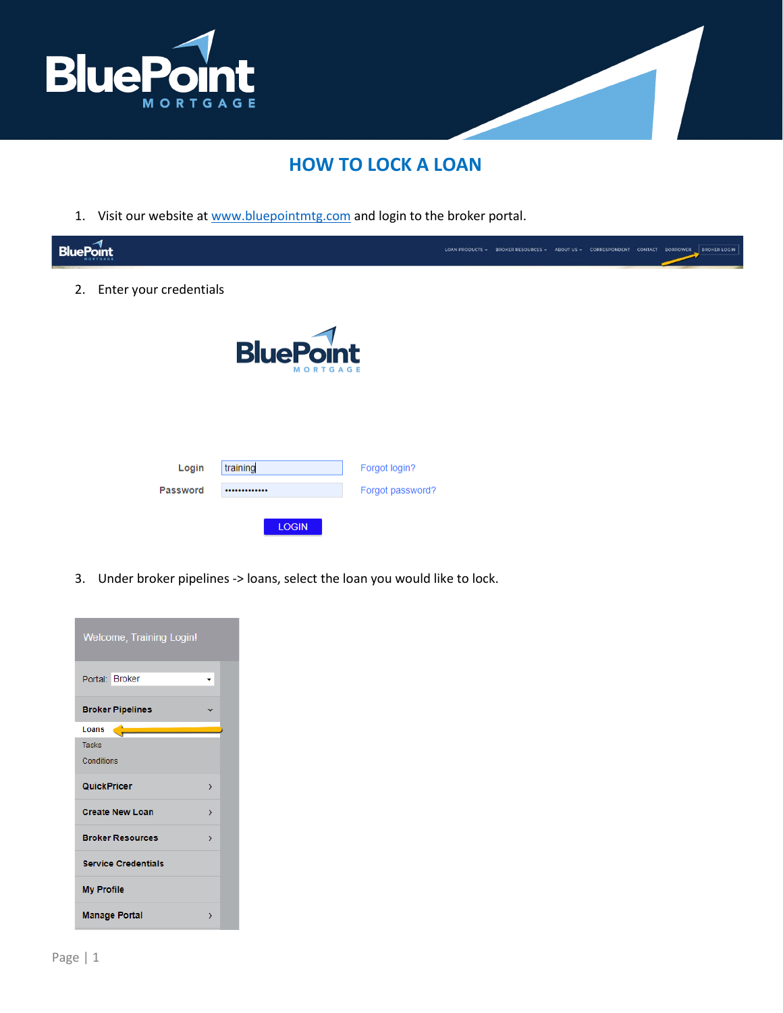

## **HOW TO LOCK A LOAN**

1. Visit our website at [www.bluepointmtg.com](https://bluepointmtg.com/) and login to the broker portal.

| <b>BluePo</b> |                        |                                     |                  | LOAN PRODUCTS . BROKER RESOURCES . ABOUT US . CORRESPONDENT CONTACT BORROWER BROKER LOGIN |  |  |  |
|---------------|------------------------|-------------------------------------|------------------|-------------------------------------------------------------------------------------------|--|--|--|
| 2.            | Enter your credentials |                                     |                  |                                                                                           |  |  |  |
|               |                        | <b>BluePoint</b><br><b>MORTGAGE</b> |                  |                                                                                           |  |  |  |
|               | Login                  | training                            | Forgot login?    |                                                                                           |  |  |  |
|               | Password               |                                     | Forgot password? |                                                                                           |  |  |  |
|               |                        | <b>LOGIN</b>                        |                  |                                                                                           |  |  |  |

3. Under broker pipelines -> loans, select the loan you would like to lock.

| <b>Welcome, Training Login!</b> |   |
|---------------------------------|---|
| Portal: Broker                  |   |
| <b>Broker Pipelines</b>         |   |
| Loans                           |   |
| <b>Tasks</b>                    |   |
| Conditions                      |   |
| <b>QuickPricer</b>              | У |
| <b>Create New Loan</b>          | У |
| <b>Broker Resources</b>         | > |
|                                 |   |
| <b>Service Credentials</b>      |   |
| <b>My Profile</b>               |   |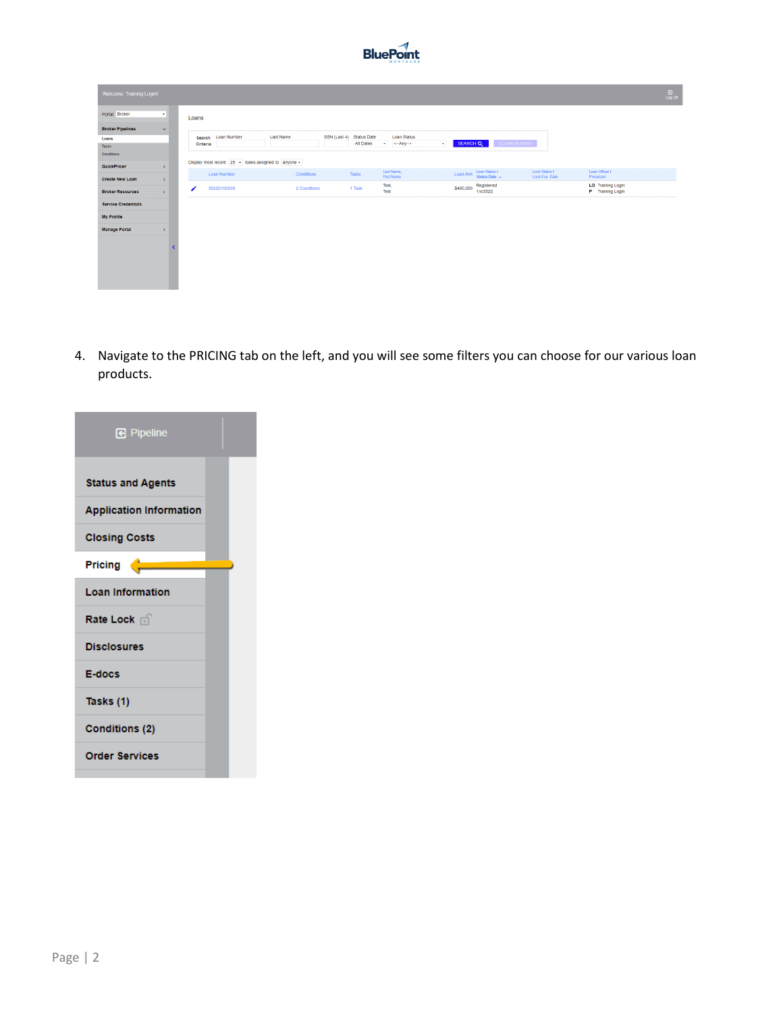

| Welcome, Training Login!   |               |          |                                                               |              |              |                                        |                                             |           |           |                                     |                                 |                                       | $\frac{50}{\log 00}$ |
|----------------------------|---------------|----------|---------------------------------------------------------------|--------------|--------------|----------------------------------------|---------------------------------------------|-----------|-----------|-------------------------------------|---------------------------------|---------------------------------------|----------------------|
| Portal: Broker             | ×             | Loans    |                                                               |              |              |                                        |                                             |           |           |                                     |                                 |                                       |                      |
| <b>Broker Pipelines</b>    | $\checkmark$  |          |                                                               |              |              |                                        |                                             |           |           |                                     |                                 |                                       |                      |
| Loans                      |               | Search   | <b>Loan Number</b>                                            | Last Name    | SSN (Last 4) | <b>Status Date</b><br><b>All Dates</b> | <b>Loan Status</b><br><-- Any --><br>$\sim$ | $\bullet$ | SEARCH Q  |                                     | CLEAR SEARCH                    |                                       |                      |
| Tasks                      |               | Criteria |                                                               |              |              |                                        |                                             |           |           |                                     |                                 |                                       |                      |
| Conditions                 |               |          |                                                               |              |              |                                        |                                             |           |           |                                     |                                 |                                       |                      |
| QuickPricer                | $\rightarrow$ |          | Display most recent $25 \div$ loans assigned to anyone $\div$ |              |              |                                        |                                             |           |           |                                     |                                 |                                       |                      |
| <b>Create New Loan</b>     | $\rightarrow$ |          | Loan Number                                                   | Conditions   |              | <b>Tasks</b>                           | Last Name,<br>First Name                    |           | Loan Amt  | Loan Status /<br>Status Date $\sim$ | Lock Status /<br>Lock Exp. Date | Loan Officer /<br>Processor           |                      |
| <b>Broker Resources</b>    | $\rightarrow$ |          | 90220100038                                                   | 2 Conditions |              | 1 Task                                 | Test,<br>Test                               |           | \$400,000 | Registered<br>1/4/2022              |                                 | LO Training Login<br>P Training Login |                      |
| <b>Service Credentials</b> |               |          |                                                               |              |              |                                        |                                             |           |           |                                     |                                 |                                       |                      |
| <b>My Profile</b>          |               |          |                                                               |              |              |                                        |                                             |           |           |                                     |                                 |                                       |                      |
| <b>Manage Portal</b>       | $\rightarrow$ |          |                                                               |              |              |                                        |                                             |           |           |                                     |                                 |                                       |                      |
|                            |               |          |                                                               |              |              |                                        |                                             |           |           |                                     |                                 |                                       |                      |

4. Navigate to the PRICING tab on the left, and you will see some filters you can choose for our various loan products.

| <b>B</b> Pipeline              |  |
|--------------------------------|--|
| <b>Status and Agents</b>       |  |
| <b>Application Information</b> |  |
| <b>Closing Costs</b>           |  |
| Pricing                        |  |
| <b>Loan Information</b>        |  |
| Rate Lock of                   |  |
| <b>Disclosures</b>             |  |
| E-docs                         |  |
| Tasks (1)                      |  |
| <b>Conditions (2)</b>          |  |
| <b>Order Services</b>          |  |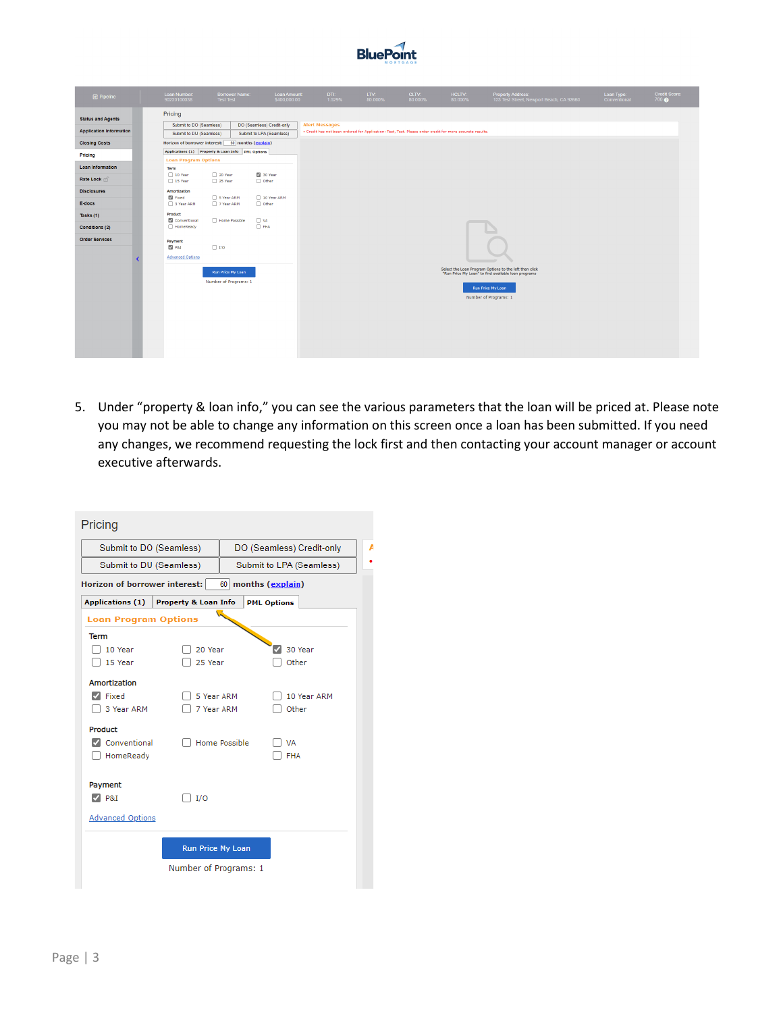

| <b>B</b> Pipeline                                          | Loan Number:<br>90220100038                                   | <b>Borrower Name:</b><br><b>Test Test</b>         | Loan Amount:<br>\$400,000,00                          | DTI:<br>1.529%                                                                                                                     | LTV:<br>80.000% | CLTV:<br>80.000% | <b>HCLTV:</b><br>80.000% | Property Address:<br>123 Test Street, Newport Beach, CA 92660                                                 | Loan Type:<br>Conventional | Credit Score:<br>700 <sub>Q</sub> |
|------------------------------------------------------------|---------------------------------------------------------------|---------------------------------------------------|-------------------------------------------------------|------------------------------------------------------------------------------------------------------------------------------------|-----------------|------------------|--------------------------|---------------------------------------------------------------------------------------------------------------|----------------------------|-----------------------------------|
| <b>Status and Agents</b><br><b>Application Information</b> | Pricing<br>Submit to DO (Seamless)<br>Submit to DU (Seamless) |                                                   | DO (Seamless) Credit-only<br>Submit to LPA (Seamless) | <b>Alert Messages</b><br>. Credit has not been ordered for Application: Test, Test. Please order credit for more accurate results. |                 |                  |                          |                                                                                                               |                            |                                   |
| <b>Closing Costs</b>                                       | Horizon of borrower interest:                                 | 60 months (explain)                               |                                                       |                                                                                                                                    |                 |                  |                          |                                                                                                               |                            |                                   |
| Pricing                                                    | <b>Loan Program Options</b>                                   | Applications (1) Property & Loan Info PML Options |                                                       |                                                                                                                                    |                 |                  |                          |                                                                                                               |                            |                                   |
| <b>Loan Information</b>                                    | Term                                                          |                                                   | 2 30 Year                                             |                                                                                                                                    |                 |                  |                          |                                                                                                               |                            |                                   |
| Rate Lock of                                               | 10 Year<br>15 Year                                            | 20 Year<br>25 Year                                | $\Box$ Other                                          |                                                                                                                                    |                 |                  |                          |                                                                                                               |                            |                                   |
| <b>Disclosures</b>                                         | Amortization<br>Fixed                                         | 5 Year ARM                                        | 10 Year ARM                                           |                                                                                                                                    |                 |                  |                          |                                                                                                               |                            |                                   |
| E-docs                                                     | 3 Year ARM                                                    | 7 Year ARM                                        | $\Box$ Other                                          |                                                                                                                                    |                 |                  |                          |                                                                                                               |                            |                                   |
| Tasks (1)                                                  | Product<br>Conventional                                       | Home Possible                                     | $\Box$ VA                                             |                                                                                                                                    |                 |                  |                          |                                                                                                               |                            |                                   |
| Conditions (2)                                             | HomeReady                                                     |                                                   | $\Box$ FHA                                            |                                                                                                                                    |                 |                  |                          |                                                                                                               |                            |                                   |
| <b>Order Services</b>                                      | Payment<br>$\boxtimes$ P&I<br><b>Advanced Options</b>         | $\Box$ I/O                                        |                                                       |                                                                                                                                    |                 |                  |                          |                                                                                                               |                            |                                   |
|                                                            |                                                               | Run Price My Loan                                 |                                                       |                                                                                                                                    |                 |                  |                          | Select the Loan Program Options to the left then click<br>"Run Price My Loan" to find available loan programs |                            |                                   |
|                                                            |                                                               | Number of Programs: 1                             |                                                       |                                                                                                                                    |                 |                  |                          | Run Price My Loan<br>Number of Programs: 1                                                                    |                            |                                   |
|                                                            |                                                               |                                                   |                                                       |                                                                                                                                    |                 |                  |                          |                                                                                                               |                            |                                   |
|                                                            |                                                               |                                                   |                                                       |                                                                                                                                    |                 |                  |                          |                                                                                                               |                            |                                   |

5. Under "property & loan info," you can see the various parameters that the loan will be priced at. Please note you may not be able to change any information on this screen once a loan has been submitted. If you need any changes, we recommend requesting the lock first and then contacting your account manager or account executive afterwards.

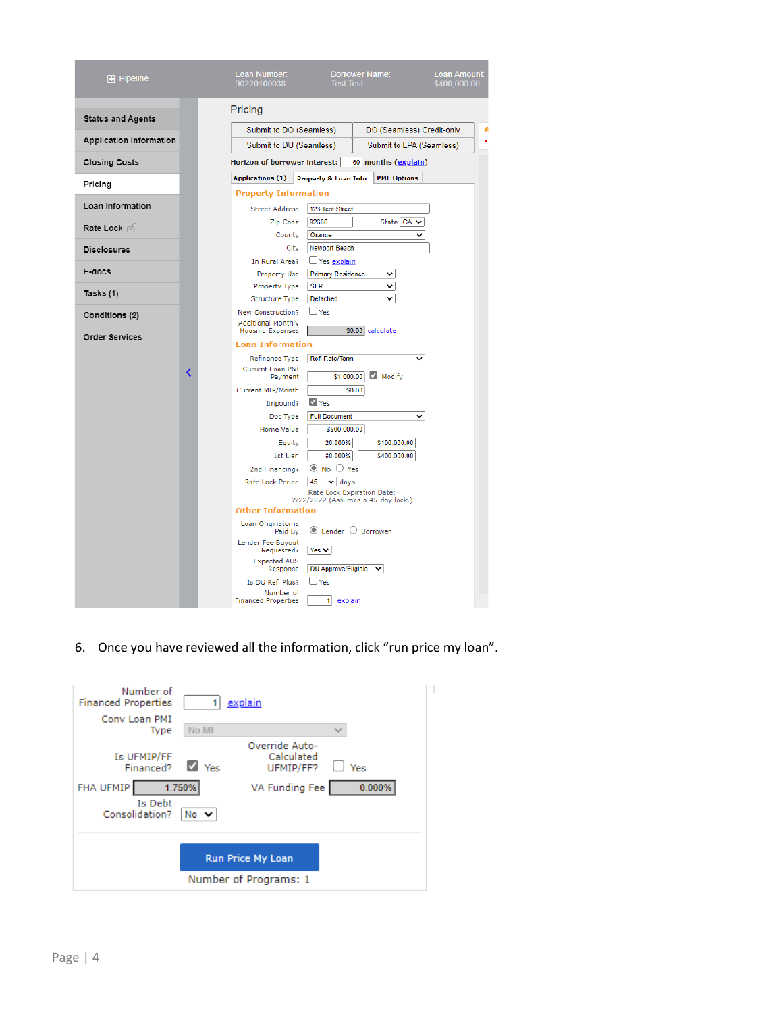| <b>B</b> Pipeline              |   | Loan Number:<br>90220100038                    | <b>Borrower Name:</b><br><b>Loan Amount:</b><br><b>Test Test</b><br>\$400,000.00 |  |
|--------------------------------|---|------------------------------------------------|----------------------------------------------------------------------------------|--|
| <b>Status and Agents</b>       |   | Pricing                                        |                                                                                  |  |
|                                |   | Submit to DO (Seamless)                        | DO (Seamless) Credit-only                                                        |  |
| <b>Application Information</b> |   | Submit to DU (Seamless)                        | Submit to LPA (Seamless)                                                         |  |
| <b>Closing Costs</b>           |   | Horizon of borrower interest:                  | 60 months (explain)                                                              |  |
| Pricing                        |   | <b>Applications (1)</b>                        | <b>PML Options</b><br><b>Property &amp; Loan Info</b>                            |  |
|                                |   | <b>Property Information</b>                    |                                                                                  |  |
| Loan Information               |   | <b>Street Address</b>                          | 123 Test Street                                                                  |  |
| Rate Lock in                   |   | Zip Code<br>County                             | 92660<br>State CA v<br>◡<br>Orange                                               |  |
| <b>Disclosures</b>             |   | City                                           | <b>Newport Beach</b>                                                             |  |
|                                |   | In Rural Area?                                 | $\Box$ Yes explain                                                               |  |
| E-docs                         |   | <b>Property Use</b>                            | <b>Primary Residence</b><br>v                                                    |  |
| Tasks (1)                      |   | Property Type                                  | <b>SFR</b><br>v                                                                  |  |
|                                |   | <b>Structure Type</b>                          | Detached<br>v                                                                    |  |
| Conditions (2)                 |   | New Construction?<br><b>Additional Monthly</b> | $\Box$ Yes                                                                       |  |
| <b>Order Services</b>          |   | <b>Housing Expenses</b>                        | \$0.00<br>calculate                                                              |  |
|                                |   | <b>Loan Information</b>                        |                                                                                  |  |
|                                |   | Refinance Type<br>Current Loan P&I             | Refi Rate/Term<br>◡                                                              |  |
|                                | K | Payment                                        | Modify<br>\$1,000.00                                                             |  |
|                                |   | Current MIP/Month                              | \$0.00                                                                           |  |
|                                |   | Impound?                                       | V Yes                                                                            |  |
|                                |   | Doc Type                                       | <b>Full Document</b><br>◡                                                        |  |
|                                |   | <b>Home Value</b>                              | \$500,000.00                                                                     |  |
|                                |   | Equity                                         | 20.000%<br>\$100,000.00<br>80.000%                                               |  |
|                                |   | 1st Lien<br>2nd Financing?                     | \$400,000.00<br>$\odot$ No $\odot$ Yes                                           |  |
|                                |   | Rate Lock Period                               | 45<br>$\vee$ days                                                                |  |
|                                |   |                                                | Rate Lock Expiration Date:                                                       |  |
|                                |   | <b>Other Information</b>                       | 2/22/2022 (Assumes a 45-day lock.)                                               |  |
|                                |   | Loan Originator is<br>Paid By                  | $\circledcirc$ Lender $\circlearrowright$ Borrower                               |  |
|                                |   | Lender Fee Buyout<br>Requested?                | $Yes \vee$                                                                       |  |
|                                |   | <b>Expected AUS</b>                            |                                                                                  |  |
|                                |   | Response                                       | DU Approve/Eligible<br>v                                                         |  |
|                                |   | Is DU Refi Plus?<br>Number of                  | $\Box$ Yes                                                                       |  |
|                                |   | <b>Financed Properties</b>                     | 1<br>explain                                                                     |  |

6. Once you have reviewed all the information, click "run price my loan".

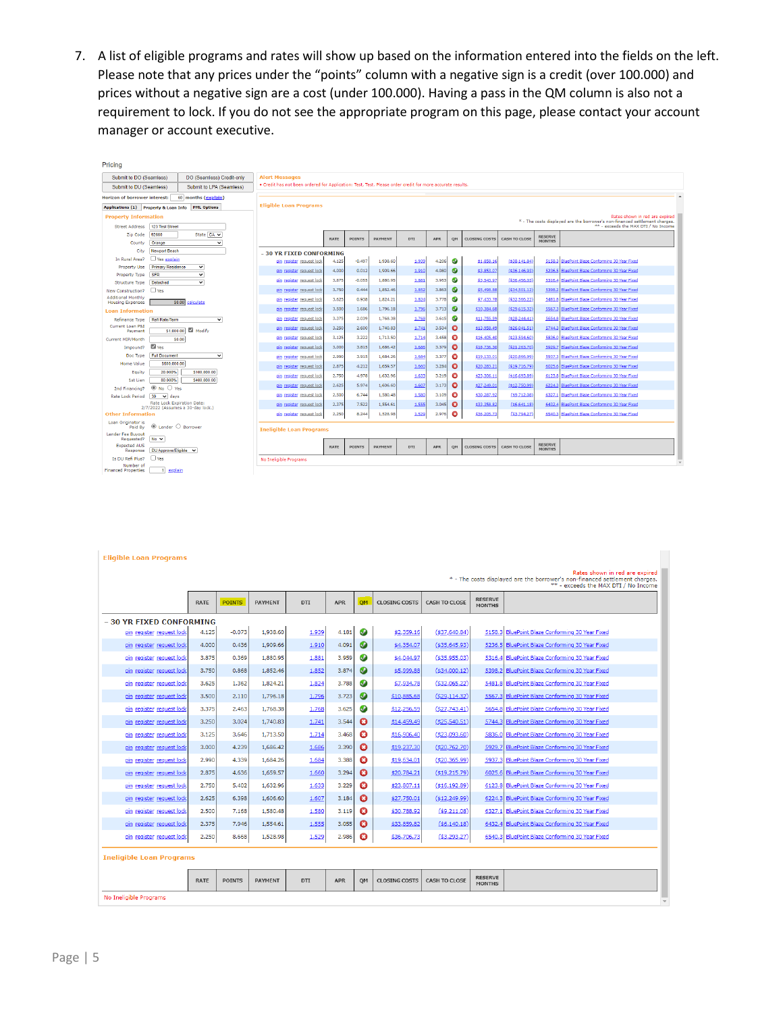7. A list of eligible programs and rates will show up based on the information entered into the fields on the left. Please note that any prices under the "points" column with a negative sign is a credit (over 100.000) and prices without a negative sign are a cost (under 100.000). Having a pass in the QM column is also not a requirement to lock. If you do not see the appropriate program on this page, please contact your account manager or account executive.

| Pricing                                |                                           |                                   |                                                                                                                     |             |               |                |            |            |           |                      |                     |                                 |                                                 |
|----------------------------------------|-------------------------------------------|-----------------------------------|---------------------------------------------------------------------------------------------------------------------|-------------|---------------|----------------|------------|------------|-----------|----------------------|---------------------|---------------------------------|-------------------------------------------------|
| Submit to DO (Seamless)                |                                           | DO (Seamless) Credit-only         | <b>Alert Messages</b>                                                                                               |             |               |                |            |            |           |                      |                     |                                 |                                                 |
| Submit to DU (Seamless)                |                                           | Submit to LPA (Seamless)          | . Credit has not been ordered for Application: Test, Test. Please order credit for more accurate results.           |             |               |                |            |            |           |                      |                     |                                 |                                                 |
| Horizon of borrower interest:          |                                           | 60 months (explain)               |                                                                                                                     |             |               |                |            |            |           |                      |                     |                                 |                                                 |
| Applications (1) Property & Loan Info  |                                           | <b>PML Options</b>                | <b>Eligible Loan Programs</b>                                                                                       |             |               |                |            |            |           |                      |                     |                                 |                                                 |
| <b>Property Information</b>            |                                           |                                   |                                                                                                                     |             |               |                |            |            |           |                      |                     |                                 | Rates shown in red are expired                  |
| <b>Street Address</b>                  | 123 Test Street                           |                                   | * - The costs displayed are the borrower's non-financed settlement charges.<br>** - exceeds the MAX DTI / No Income |             |               |                |            |            |           |                      |                     |                                 |                                                 |
| Zip Code                               | 92660                                     | State CA v                        |                                                                                                                     |             | <b>POINTS</b> | <b>PAYMENT</b> | DTI        | APR        |           | <b>CLOSING COSTS</b> | CASH TO CLOSE       | <b>RESERVE</b>                  |                                                 |
| County                                 | Orange                                    | $\check{ }$                       |                                                                                                                     | <b>RATE</b> |               |                |            |            | QM        |                      |                     | <b>MONTHS</b>                   |                                                 |
| City                                   | <b>Newport Beach</b>                      |                                   | - 30 YR FIXED CONFORMING                                                                                            |             |               |                |            |            |           |                      |                     |                                 |                                                 |
| In Rural Area?                         | Yes explain                               |                                   | pin register request look                                                                                           | 4.125       | $-0.497$      | 1,938.60       | 1.939      | 4.206      | $\bullet$ | \$1,858.16           | $($ \$38,141.84 $)$ | 5158.3                          | BluePoint Blaze Conforming 30 Year Fixed        |
| <b>Property Use</b>                    | <b>Primary Residence</b>                  | $\checkmark$                      | pin register request lod                                                                                            | 4.000       | 0.012         | 1,909.66       | 1.910      | 4.080      | ◑         | \$3,853.07           | $($ \$36,146.93     | 5236.5                          | BluePoint Blaze Conforming 30 Year Fixed        |
| Property Type<br><b>Structure Type</b> | <b>SFR</b><br>Detached                    | $\check{ }$<br>$\check{~}$        | pin register request lod                                                                                            | 3.875       | $-0.055$      | 1,880.95       | 1.881      | 3.953      | $\bullet$ | \$3,543.97           | ( \$36,456.03       | 5316.4                          | BluePoint Blaze Conforming 30 Year Fixed        |
| New Construction?                      | $\Box$ Yes                                |                                   | pin register request lock                                                                                           | 3.750       | 0.444         | 1,852.46       | 1.852      | 3.863      | $\bullet$ | \$5,498.88           | $($ \$34,501.12     | 5398.2                          | BluePoint Blaze Conforming 30 Year Fixed        |
| <b>Additional Monthly</b>              |                                           |                                   | pin register request lock                                                                                           | 3.625       | 0.938         | 1,824.21       | 1.824      | 3.778      | $\bullet$ | \$7,433.78           | $($ \$32,566.22     |                                 | 5481.8 BluePoint Blaze Conforming 30 Year Fixed |
| <b>Housing Expenses</b>                |                                           | \$0.00 calculate                  | pin register request lock                                                                                           | 3,500       | 1,686         | 1,796.18       | 1,796      | 3.713      | $\bullet$ | \$10,384.6           | ( \$29,615.32       | 5567.3                          | BluePoint Blaze Conforming 30 Year Fixed        |
| <b>Loan Information</b>                | Refi Rate/Term                            | $\check{ }$                       | pin register request lock                                                                                           | 3.375       | 2.039         | 1,768.38       | 1.768      | 3.615      | ◐         | \$11,755.59          | ( \$28, 244, 41     | 5654.8                          | BluePoint Blaze Conforming 30 Year Fixed        |
| Refinance Type<br>Current Loan P&I     |                                           |                                   | pin register request lock                                                                                           | 3.250       | 2,600         | 1,740.83       | 1.741      | 3.534      | O         | \$13,958.49          | ( \$26.041.51       | 5744.3                          | BluePoint Blaze Conforming 30 Year Fixed        |
| Payment                                | \$1,000.00                                | Modify                            |                                                                                                                     |             |               |                |            |            |           |                      |                     |                                 |                                                 |
| Current MIP/Month                      |                                           | \$0.00                            | pin register request lock                                                                                           | 3.125       | 3.222         | 1,713.50       | 1.714      | 3.458      | ø         | \$16,405.40          | (\$23,594.60)       | 5836.0                          | BluePoint Blaze Conforming 30 Year Fixed        |
| Impound?                               | <b>Z</b> Yes                              |                                   | pin register request lock                                                                                           | 3.000       | 3.815         | 1,686.42       | 1.686      | 3.379      | O         | \$18,736.30          | (\$21,263.70        | 5929.7                          | BluePoint Blaze Conforming 30 Year Fixed        |
| Doc Type<br><b>Home Value</b>          | <b>Full Document</b><br>\$500,000.00      | $\check{~}$                       | pin register request lock                                                                                           | 2.990       | 3.915         | 1,684.26       | 1.684      | 3.377      | ø         | \$19,133.01          | (\$20,866.99)       | 5937.3                          | BluePoint Blaze Conforming 30 Year Fixed        |
| Equity                                 | 20.000%                                   | \$100,000.00                      | pin register request lock                                                                                           | 2.875       | 4.212         | 1,659.57       | 1.660      | 3.284      | o         | \$20,283.21          | (519.716.79         | 6025.6                          | BluePoint Blaze Conforming 30 Year Fixed        |
| 1st Lien                               | 80.000%                                   | \$400,000.00                      | pin register request lod                                                                                            | 2.750       | 4.978         | 1,632.96       | 1.633      | 3.219      | ø         | \$23,306.11          | (516, 693.89)       | 6123.8                          | BluePoint Blaze Conforming 30 Year Fixed        |
| 2nd Financing?                         | $\circledcirc$ No $\circlearrowright$ Yes |                                   | pin register request lod                                                                                            | 2.625       | 5.974         | 1,606.60       | 1.607      | 3.173      | $\bullet$ | \$27,249.0           | (512,750.99)        | 6224.3                          | <b>BluePoint Blaze Conforming 30 Year Fixed</b> |
| Rate Lock Period                       | $30 \times days$                          |                                   | pin register request lock                                                                                           | 2.500       | 6,744         | 1,580.48       | 1.580      | 3.109      | ø         | \$30,287.92          | (59,712.08          | 6327.1                          | BluePoint Blaze Conforming 30 Year Fixed        |
|                                        | Rate Lock Expiration Date:                | 2/7/2022 (Assumes a 30-day lock.) | pin register request loc                                                                                            | 2.375       | 7.522         | 1,554.61       | 1.555      | 3.045      | O         | \$33,358.82          | (56, 641.18)        | 6432.4                          | BluePoint Blaze Conforming 30 Year Fixed        |
| <b>Other Information</b>               |                                           |                                   | pin register request lock                                                                                           | 2.250       | 8,244         | 1,528.98       | 1.529      | 2.976      | ø         | \$36,205.73          | $($ \$3,794.27      |                                 | 6540.3 BluePoint Blaze Conforming 30 Year Fixed |
| Loan Originator is<br>Paid By          | $\circledcirc$                            | Lender $\bigcirc$ Borrower        | <b>Ineligible Loan Programs</b>                                                                                     |             |               |                |            |            |           |                      |                     |                                 |                                                 |
| <b>Lender Fee Buvout</b><br>Requested? | $No \vee$                                 |                                   |                                                                                                                     |             |               |                |            |            |           |                      |                     |                                 |                                                 |
| <b>Expected AUS</b><br>Response        | DU Approve/Eligible v                     |                                   |                                                                                                                     | <b>RATE</b> | <b>POINTS</b> | <b>PAYMENT</b> | <b>DTI</b> | <b>APR</b> | QM        | <b>CLOSING COSTS</b> | CASH TO CLOSE       | <b>RESERVE</b><br><b>MONTHS</b> |                                                 |
| Is DU Refi Plus?                       | $\Box$ Yes                                |                                   | No Ineligible Programs                                                                                              |             |               |                |            |            |           |                      |                     |                                 |                                                 |
| Number of<br>Financed Pronecties       | 1 avolain                                 |                                   |                                                                                                                     |             |               |                |            |            |           |                      |                     |                                 |                                                 |

|  |  | <b>Eligible Loan Programs</b> |
|--|--|-------------------------------|
|  |  |                               |

|<br>| Rates shown in red are expired<br>| Free costs displayed are the borrower's non-financed settlement charges.

|                                 | <b>RATE</b> | <b>POINTS</b> | <b>PAYMENT</b> | DTI   | <b>APR</b> | OM                    | <b>CLOSING COSTS</b> | <b>CASH TO CLOSE</b> | <b>RESERVE</b><br><b>MONTHS</b> | ** - exceeds the MAX DTI / No Income            |
|---------------------------------|-------------|---------------|----------------|-------|------------|-----------------------|----------------------|----------------------|---------------------------------|-------------------------------------------------|
| - 30 YR FIXED CONFORMING        |             |               |                |       |            |                       |                      |                      |                                 |                                                 |
| pin register request lock       | 4.125       | $-0.073$      | 1,938.60       | 1.939 | 4.181      | $\bullet$             | \$2,359.16           | $($ \$37,640.84)     |                                 | 5158.3 BluePoint Blaze Conforming 30 Year Fixed |
| pin register request lock       | 4.000       | 0.436         | 1,909.66       | 1,910 | 4.091      | $\bullet$             | \$4,354.07           | $($ \$35,645.93)     |                                 | 5236.5 BluePoint Blaze Conforming 30 Year Fixed |
| pin register request lock       | 3.875       | 0.369         | 1,880.95       | 1.881 | 3.959      | $\bullet$             | \$4,044.97           | $($ \$35,955.03)     |                                 | 5316.4 BluePoint Blaze Conforming 30 Year Fixed |
| pin register request lock       | 3.750       | 0.868         | 1,852.46       | 1.852 | 3.874      | $\bullet$             | \$5,999.88           | $($ \$34,000.12)     |                                 | 5398.2 BluePoint Blaze Conforming 30 Year Fixed |
| pin register request lock       | 3.625       | 1.362         | 1,824.21       | 1.824 | 3.788      | $\bullet$             | \$7,934.78           | $($ \$32,065.22)     |                                 | 5481.8 BluePoint Blaze Conforming 30 Year Fixed |
| pin register request lock       | 3.500       | 2.110         | 1,796.18       | 1,796 | 3.723      | $\bullet$             | \$10,885.68          | (529, 114.32)        |                                 | 5567.3 BluePoint Blaze Conforming 30 Year Fixed |
| pin register request lock       | 3.375       | 2.463         | 1,768.38       | 1.768 | 3.625      | $\bullet$             | \$12,256.59          | (527,743.41)         |                                 | 5654.8 BluePoint Blaze Conforming 30 Year Fixed |
| pin register request lock       | 3.250       | 3.024         | 1,740.83       | 1,741 | 3.544      | O                     | \$14,459.49          | ( \$25,540.51)       |                                 | 5744.3 BluePoint Blaze Conforming 30 Year Fixed |
| pin register request lock       | 3.125       | 3.646         | 1,713.50       | 1.714 | 3.468      | Ø                     | \$16,906.40          | $($ \$23,093.60)     |                                 | 5836.0 BluePoint Blaze Conforming 30 Year Fixed |
| pin register request lock       | 3.000       | 4.239         | 1,686.42       | 1.686 | 3.390      | ø                     | \$19,237.30          | ( \$20,762.70)       |                                 | 5929.7 BluePoint Blaze Conforming 30 Year Fixed |
| pin register request lock       | 2.990       | 4.339         | 1,684.26       | 1.684 | 3.388      | O                     | \$19,634.01          | (520, 365.99)        |                                 | 5937.3 BluePoint Blaze Conforming 30 Year Fixed |
| pin register request lock       | 2.875       | 4.636         | 1,659.57       | 1.660 | 3.294      | $\boldsymbol{\Omega}$ | \$20,784.21          | $($ \$19,215.79)     |                                 | 6025.6 BluePoint Blaze Conforming 30 Year Fixed |
| pin register request lock       | 2.750       | 5.402         | 1,632.96       | 1.633 | 3.229      | Ø                     | \$23,807.11          | (516, 192.89)        |                                 | 6123.8 BluePoint Blaze Conforming 30 Year Fixed |
| pin register request lock       | 2.625       | 6.398         | 1,606.60       | 1.607 | 3.184      | $\boldsymbol{\Omega}$ | \$27,750.01          | $($ \$12,249.99)     |                                 | 6224.3 BluePoint Blaze Conforming 30 Year Fixed |
| pin register request lock       | 2.500       | 7.168         | 1,580.48       | 1.580 | 3.119      | Ø                     | \$30,788.92          | (59,211.08)          |                                 | 6327.1 BluePoint Blaze Conforming 30 Year Fixed |
| pin register request lock       | 2.375       | 7.946         | 1,554.61       | 1.555 | 3.055      | ø                     | \$33,859.82          | ( \$6,140.18)        |                                 | 6432.4 BluePoint Blaze Conforming 30 Year Fixed |
| pin register request lock       | 2.250       | 8.668         | 1,528.98       | 1.529 | 2.986      | ø                     | \$36,706.73          | ( \$3,293.27)        |                                 | 6540.3 BluePoint Blaze Conforming 30 Year Fixed |
| <b>Ineligible Loan Programs</b> |             |               |                |       |            |                       |                      |                      |                                 |                                                 |
|                                 | <b>RATE</b> | <b>POINTS</b> | <b>PAYMENT</b> | DTI   | <b>APR</b> | OM                    | <b>CLOSING COSTS</b> | <b>CASH TO CLOSE</b> | <b>RESERVE</b><br><b>MONTHS</b> |                                                 |
| No Ineligible Programs          |             |               |                |       |            |                       |                      |                      |                                 |                                                 |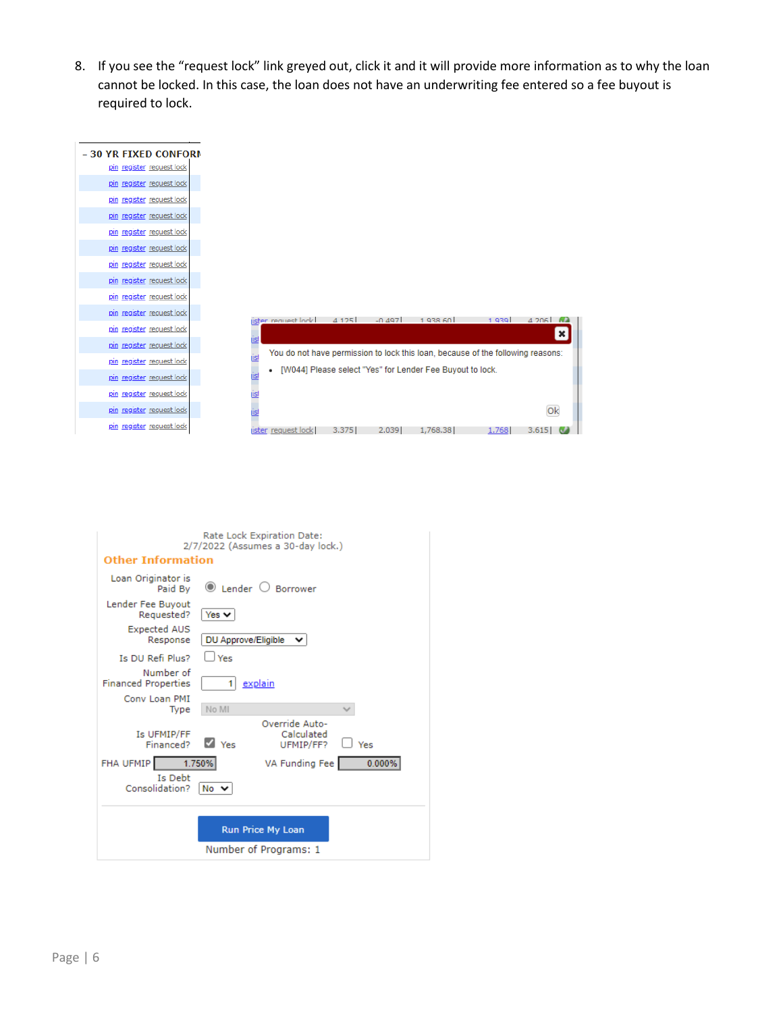8. If you see the "request lock" link greyed out, click it and it will provide more information as to why the loan cannot be locked. In this case, the loan does not have an underwriting fee entered so a fee buyout is required to lock.



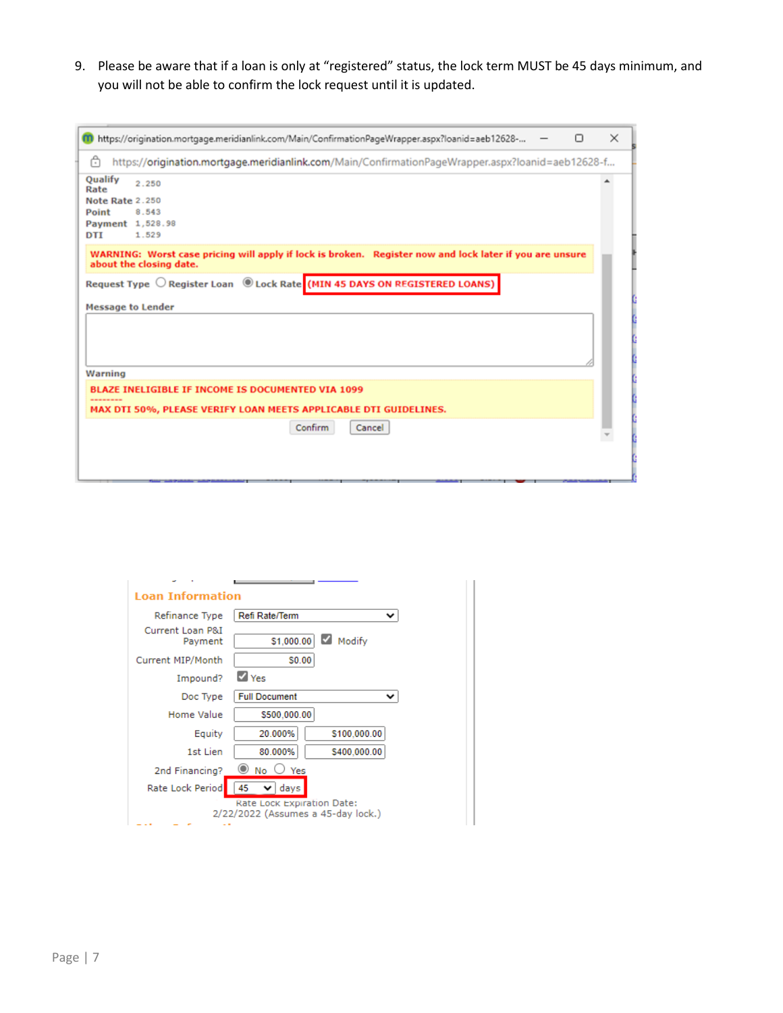9. Please be aware that if a loan is only at "registered" status, the lock term MUST be 45 days minimum, and you will not be able to confirm the lock request until it is updated.

| 00 https://origination.mortgage.meridianlink.com/Main/ConfirmationPageWrapper.aspx?loanid=aeb12628-                                | Π | $\times$ |
|------------------------------------------------------------------------------------------------------------------------------------|---|----------|
| ᠿ<br>https://origination.mortgage.meridianlink.com/Main/ConfirmationPageWrapper.aspx?loanid=aeb12628-f                             |   |          |
| Qualify<br>2.250<br>Rate                                                                                                           |   |          |
| <b>Note Rate 2.250</b>                                                                                                             |   |          |
| Point<br>8.543                                                                                                                     |   |          |
| Payment 1,528.98                                                                                                                   |   |          |
| 1.529<br>DTI                                                                                                                       |   |          |
| WARNING: Worst case pricing will apply if lock is broken. Register now and lock later if you are unsure<br>about the closing date. |   |          |
| Request Type O Register Loan (D Lock Rate (MIN 45 DAYS ON REGISTERED LOANS)                                                        |   |          |
| <b>Message to Lender</b>                                                                                                           |   |          |
|                                                                                                                                    |   |          |
|                                                                                                                                    |   |          |
|                                                                                                                                    |   |          |
|                                                                                                                                    |   |          |
| Warning                                                                                                                            |   |          |
| BLAZE INELIGIBLE IF INCOME IS DOCUMENTED VIA 1099                                                                                  |   |          |
|                                                                                                                                    |   |          |
| MAX DTI 50%, PLEASE VERIFY LOAN MEETS APPLICABLE DTI GUIDELINES.                                                                   |   |          |
| Confirm<br>Cancel                                                                                                                  |   |          |
|                                                                                                                                    |   |          |
|                                                                                                                                    |   |          |
|                                                                                                                                    |   |          |
|                                                                                                                                    |   |          |
|                                                                                                                                    |   |          |

| <u> Loan Information</u>    |                                                                  |              |  |
|-----------------------------|------------------------------------------------------------------|--------------|--|
| Refinance Type              | Refi Rate/Term                                                   |              |  |
| Current Loan P&I<br>Payment | \$1,000.00                                                       | Modify       |  |
| Current MIP/Month           | \$0.00                                                           |              |  |
| Impound?                    | $\vee$ Yes                                                       |              |  |
| Doc Type                    | <b>Full Document</b>                                             |              |  |
| Home Value                  | \$500,000.00                                                     |              |  |
| Equity                      | 20.000%                                                          | \$100,000.00 |  |
| 1st Lien                    | 80.000%                                                          | \$400,000.00 |  |
| 2nd Financing?              | $\bullet$ No $\circ$ Yes                                         |              |  |
| Rate Lock Period            | 45<br>days<br>◡                                                  |              |  |
|                             | Rate Lock Expiration Date:<br>2/22/2022 (Assumes a 45-day lock.) |              |  |